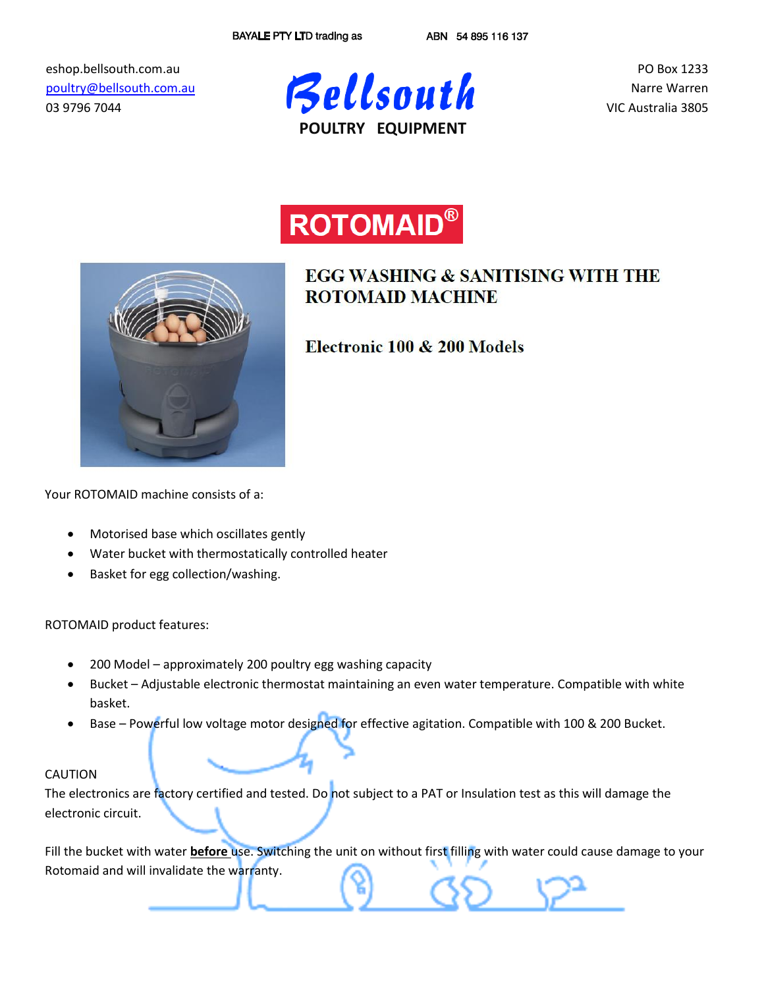eshop.bellsouth.com.au [poultry@bellsouth.com.au](mailto:poultry@bellsouth.com.au) 03 9796 7044



PO Box 1233 Narre Warren VIC Australia 3805





# **EGG WASHING & SANITISING WITH THE ROTOMAID MACHINE**

Electronic 100 & 200 Models

Your ROTOMAID machine consists of a:

- Motorised base which oscillates gently
- Water bucket with thermostatically controlled heater
- Basket for egg collection/washing.

ROTOMAID product features:

- 200 Model approximately 200 poultry egg washing capacity
- Bucket Adjustable electronic thermostat maintaining an even water temperature. Compatible with white basket.
- Base Powerful low voltage motor designed for effective agitation. Compatible with 100 & 200 Bucket.

## CAUTION

The electronics are factory certified and tested. Do not subject to a PAT or Insulation test as this will damage the electronic circuit.

Fill the bucket with water **before** use. Switching the unit on without first filling with water could cause damage to your Rotomaid and will invalidate the warranty.